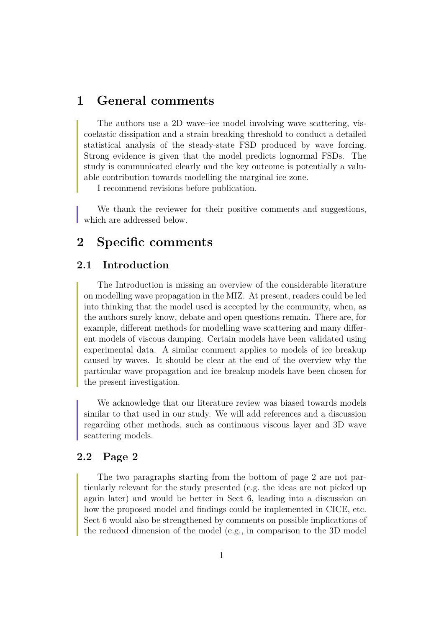## **1 General comments**

The authors use a 2D wave–ice model involving wave scattering, viscoelastic dissipation and a strain breaking threshold to conduct a detailed statistical analysis of the steady-state FSD produced by wave forcing. Strong evidence is given that the model predicts lognormal FSDs. The study is communicated clearly and the key outcome is potentially a valuable contribution towards modelling the marginal ice zone.

I recommend revisions before publication.

We thank the reviewer for their positive comments and suggestions, which are addressed below.

# **2 Specific comments**

## **2.1 Introduction**

The Introduction is missing an overview of the considerable literature on modelling wave propagation in the MIZ. At present, readers could be led into thinking that the model used is accepted by the community, when, as the authors surely know, debate and open questions remain. There are, for example, different methods for modelling wave scattering and many different models of viscous damping. Certain models have been validated using experimental data. A similar comment applies to models of ice breakup caused by waves. It should be clear at the end of the overview why the particular wave propagation and ice breakup models have been chosen for the present investigation.

We acknowledge that our literature review was biased towards models similar to that used in our study. We will add references and a discussion regarding other methods, such as continuous viscous layer and 3D wave scattering models.

## **2.2 Page 2**

The two paragraphs starting from the bottom of page 2 are not particularly relevant for the study presented (e.g. the ideas are not picked up again later) and would be better in Sect 6, leading into a discussion on how the proposed model and findings could be implemented in CICE, etc. Sect 6 would also be strengthened by comments on possible implications of the reduced dimension of the model (e.g., in comparison to the 3D model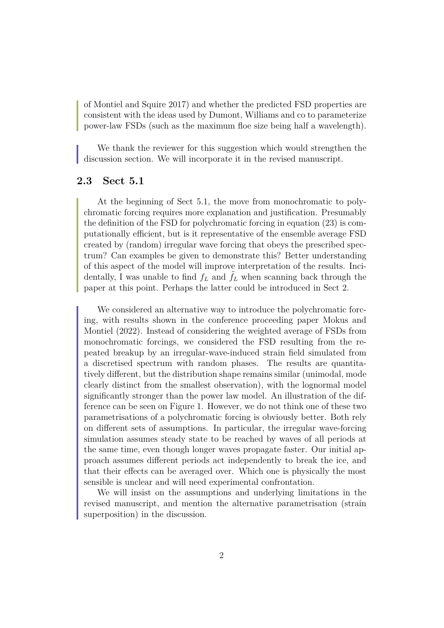of Montiel and Squire 2017) and whether the predicted FSD properties are consistent with the ideas used by Dumont, Williams and co to parameterize power-law FSDs (such as the maximum floe size being half a wavelength).

We thank the reviewer for this suggestion which would strengthen the discussion section. We will incorporate it in the revised manuscript.

## **2.3 Sect 5.1**

At the beginning of Sect 5.1, the move from monochromatic to polychromatic forcing requires more explanation and justification. Presumably the definition of the FSD for polychromatic forcing in equation (23) is computationally efficient, but is it representative of the ensemble average FSD created by (random) irregular wave forcing that obeys the prescribed spectrum? Can examples be given to demonstrate this? Better understanding of this aspect of the model will improve interpretation of the results. Incidentally, I was unable to find  $f<sub>L</sub>$  and  $f<sub>L</sub>$  when scanning back through the paper at this point. Perhaps the latter could be introduced in Sect 2.

We considered an alternative way to introduce the polychromatic forcing, with results shown in the conference proceeding paper Mokus and Montiel (2022). Instead of considering the weighted average of FSDs from monochromatic forcings, we considered the FSD resulting from the repeated breakup by an irregular-wave-induced strain field simulated from a discretised spectrum with random phases. The results are quantitatively different, but the distribution shape remains similar (unimodal, mode clearly distinct from the smallest observation), with the lognormal model significantly stronger than the power law model. An illustration of the difference can be seen on Figure 1. However, we do not think one of these two parametrisations of a polychromatic forcing is obviously better. Both rely on different sets of assumptions. In particular, the irregular wave-forcing simulation assumes steady state to be reached by waves of all periods at the same time, even though longer waves propagate faster. Our initial approach assumes different periods act independently to break the ice, and that their effects can be averaged over. Which one is physically the most sensible is unclear and will need experimental confrontation.

We will insist on the assumptions and underlying limitations in the revised manuscript, and mention the alternative parametrisation (strain superposition) in the discussion.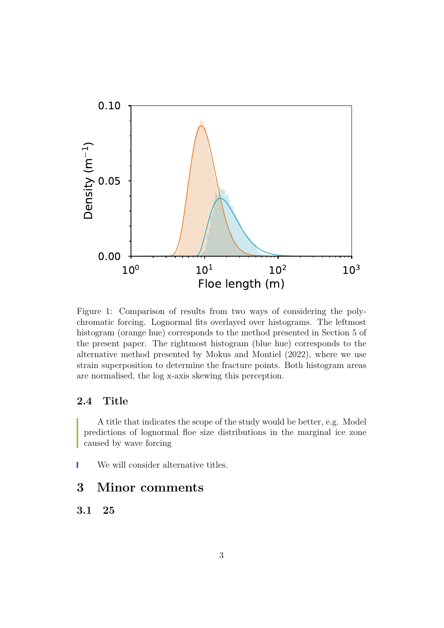

Figure 1: Comparison of results from two ways of considering the polychromatic forcing. Lognormal fits overlayed over histograms. The leftmost histogram (orange hue) corresponds to the method presented in Section 5 of the present paper. The rightmost histogram (blue hue) corresponds to the alternative method presented by Mokus and Montiel (2022), where we use strain superposition to determine the fracture points. Both histogram areas are normalised, the log x-axis skewing this perception.

## **2.4 Title**

A title that indicates the scope of the study would be better, e.g. Model predictions of lognormal floe size distributions in the marginal ice zone caused by wave forcing

We will consider alternative titles.

# **3 Minor comments**

## **3.1 25**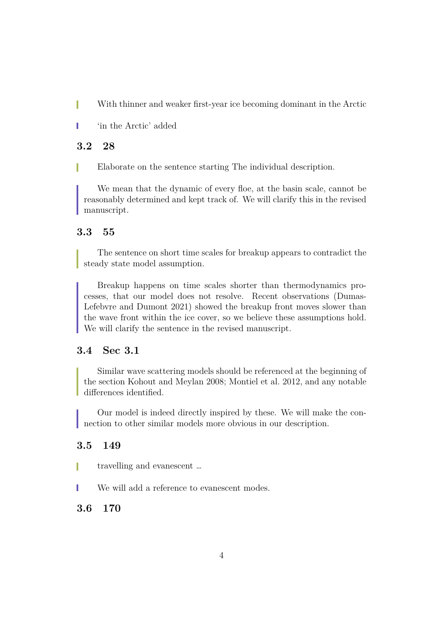With thinner and weaker first-year ice becoming dominant in the Arctic H

'in the Arctic' added

## **3.2 28**

Elaborate on the sentence starting The individual description. П

We mean that the dynamic of every floe, at the basin scale, cannot be reasonably determined and kept track of. We will clarify this in the revised manuscript.

## **3.3 55**

The sentence on short time scales for breakup appears to contradict the steady state model assumption.

Breakup happens on time scales shorter than thermodynamics processes, that our model does not resolve. Recent observations (Dumas-Lefebvre and Dumont 2021) showed the breakup front moves slower than the wave front within the ice cover, so we believe these assumptions hold. We will clarify the sentence in the revised manuscript.

### **3.4 Sec 3.1**

Similar wave scattering models should be referenced at the beginning of the section Kohout and Meylan 2008; Montiel et al. 2012, and any notable differences identified.

Our model is indeed directly inspired by these. We will make the connection to other similar models more obvious in our description.

### **3.5 149**

travelling and evanescent …

We will add a reference to evanescent modes.

### **3.6 170**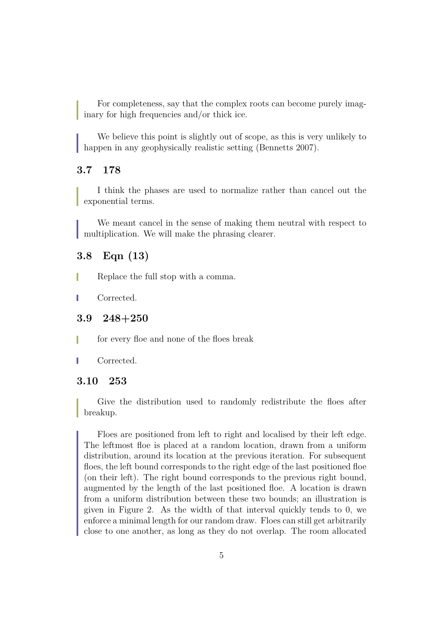For completeness, say that the complex roots can become purely imaginary for high frequencies and/or thick ice.

We believe this point is slightly out of scope, as this is very unlikely to happen in any geophysically realistic setting (Bennetts 2007).

## **3.7 178**

I think the phases are used to normalize rather than cancel out the exponential terms.

We meant cancel in the sense of making them neutral with respect to multiplication. We will make the phrasing clearer.

### **3.8 Eqn (13)**

- Replace the full stop with a comma.
- Corrected.

#### **3.9 248+250**

- for every floe and none of the floes break
- Corrected.

#### **3.10 253**

Give the distribution used to randomly redistribute the floes after breakup.

Floes are positioned from left to right and localised by their left edge. The leftmost floe is placed at a random location, drawn from a uniform distribution, around its location at the previous iteration. For subsequent floes, the left bound corresponds to the right edge of the last positioned floe (on their left). The right bound corresponds to the previous right bound, augmented by the length of the last positioned floe. A location is drawn from a uniform distribution between these two bounds; an illustration is given in Figure 2. As the width of that interval quickly tends to 0, we enforce a minimal length for our random draw. Floes can still get arbitrarily close to one another, as long as they do not overlap. The room allocated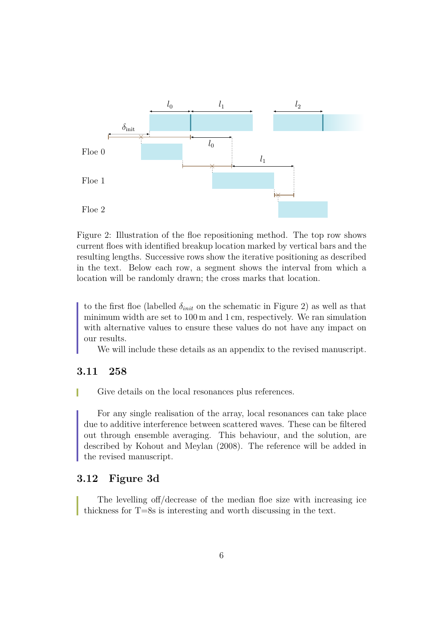

Figure 2: Illustration of the floe repositioning method. The top row shows current floes with identified breakup location marked by vertical bars and the resulting lengths. Successive rows show the iterative positioning as described in the text. Below each row, a segment shows the interval from which a location will be randomly drawn; the cross marks that location.

to the first floe (labelled  $\delta_{init}$  on the schematic in Figure 2) as well as that minimum width are set to 100 m and 1 cm, respectively. We ran simulation with alternative values to ensure these values do not have any impact on our results.

We will include these details as an appendix to the revised manuscript.

## **3.11 258**

Give details on the local resonances plus references.

For any single realisation of the array, local resonances can take place due to additive interference between scattered waves. These can be filtered out through ensemble averaging. This behaviour, and the solution, are described by Kohout and Meylan (2008). The reference will be added in the revised manuscript.

## **3.12 Figure 3d**

The levelling off/decrease of the median floe size with increasing ice thickness for T=8s is interesting and worth discussing in the text.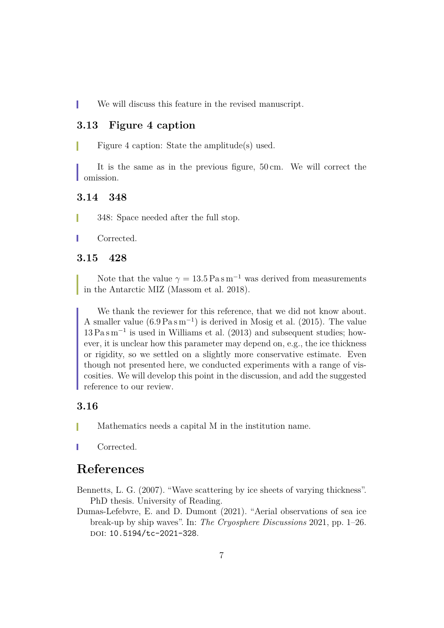T We will discuss this feature in the revised manuscript.

#### **3.13 Figure 4 caption**

Figure 4 caption: State the amplitude(s) used.

It is the same as in the previous figure, 50 cm. We will correct the **Comission.** 

### **3.14 348**

348: Space needed after the full stop.

Corrected.

#### **3.15 428**

Note that the value  $\gamma = 13.5 \text{ Pa s m}^{-1}$  was derived from measurements in the Antarctic MIZ (Massom et al. 2018).

We thank the reviewer for this reference, that we did not know about. A smaller value  $(6.9 \text{ Pa s m}^{-1})$  is derived in Mosig et al. (2015). The value 13 Pa s m<sup>−</sup><sup>1</sup> is used in Williams et al. (2013) and subsequent studies; however, it is unclear how this parameter may depend on, e.g., the ice thickness or rigidity, so we settled on a slightly more conservative estimate. Even though not presented here, we conducted experiments with a range of viscosities. We will develop this point in the discussion, and add the suggested reference to our review.

#### **3.16**

Mathematics needs a capital M in the institution name.

Corrected.

## **References**

Bennetts, L. G. (2007). "Wave scattering by ice sheets of varying thickness". PhD thesis. University of Reading.

Dumas-Lefebvre, E. and D. Dumont (2021). "Aerial observations of sea ice break-up by ship waves". In: *The Cryosphere Discussions* 2021, pp. 1–26. DOI: 10.5194/tc-2021-328.